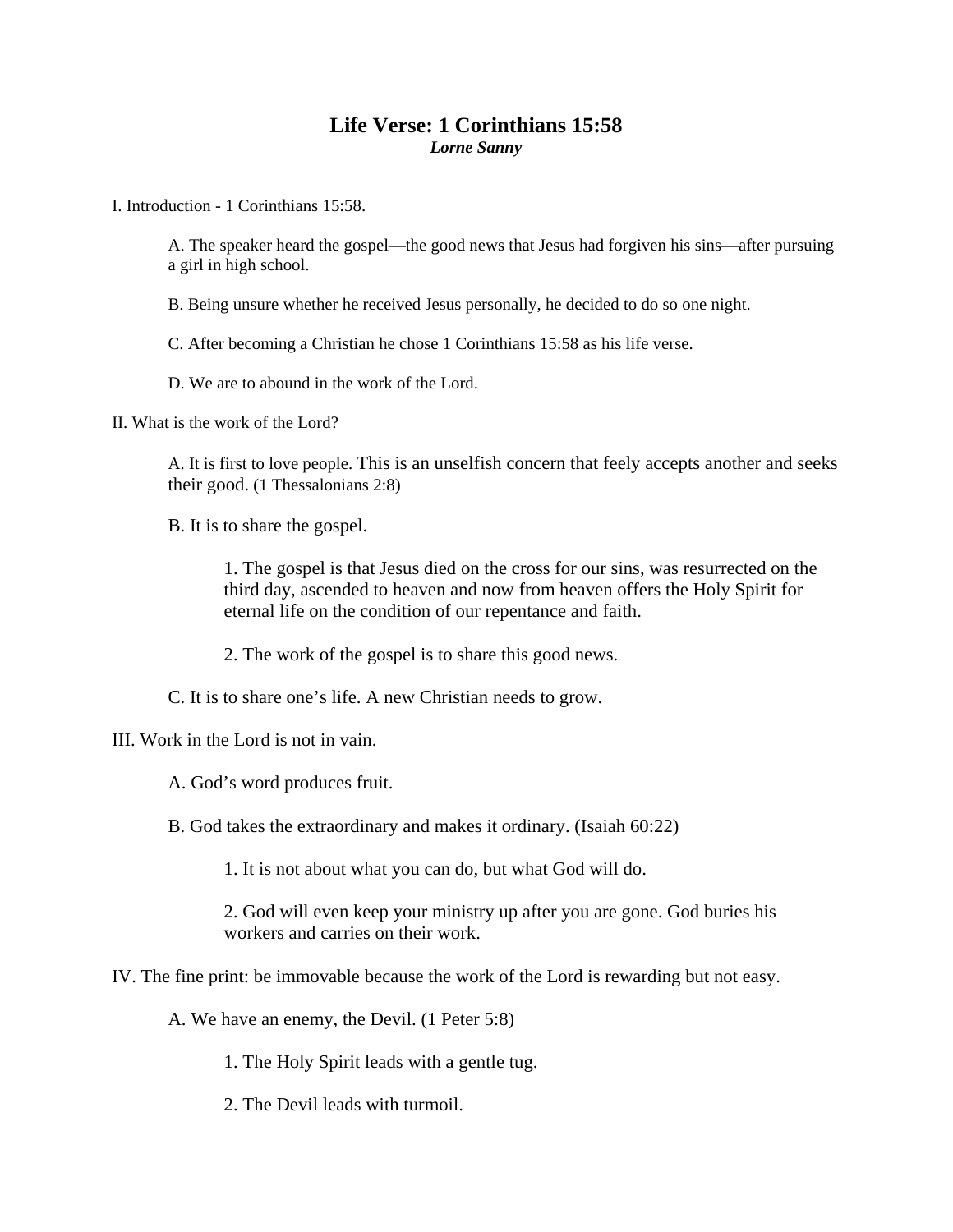## **Life Verse: 1 Corinthians 15:58**  *Lorne Sanny*

I. Introduction - 1 Corinthians 15:58.

A. The speaker heard the gospel—the good news that Jesus had forgiven his sins—after pursuing a girl in high school.

B. Being unsure whether he received Jesus personally, he decided to do so one night.

C. After becoming a Christian he chose 1 Corinthians 15:58 as his life verse.

D. We are to abound in the work of the Lord.

II. What is the work of the Lord?

A. It is first to love people. This is an unselfish concern that feely accepts another and seeks their good. (1 Thessalonians 2:8)

B. It is to share the gospel.

1. The gospel is that Jesus died on the cross for our sins, was resurrected on the third day, ascended to heaven and now from heaven offers the Holy Spirit for eternal life on the condition of our repentance and faith.

2. The work of the gospel is to share this good news.

C. It is to share one's life. A new Christian needs to grow.

III. Work in the Lord is not in vain.

A. God's word produces fruit.

B. God takes the extraordinary and makes it ordinary. (Isaiah 60:22)

1. It is not about what you can do, but what God will do.

2. God will even keep your ministry up after you are gone. God buries his workers and carries on their work.

IV. The fine print: be immovable because the work of the Lord is rewarding but not easy.

A. We have an enemy, the Devil. (1 Peter 5:8)

1. The Holy Spirit leads with a gentle tug.

2. The Devil leads with turmoil.